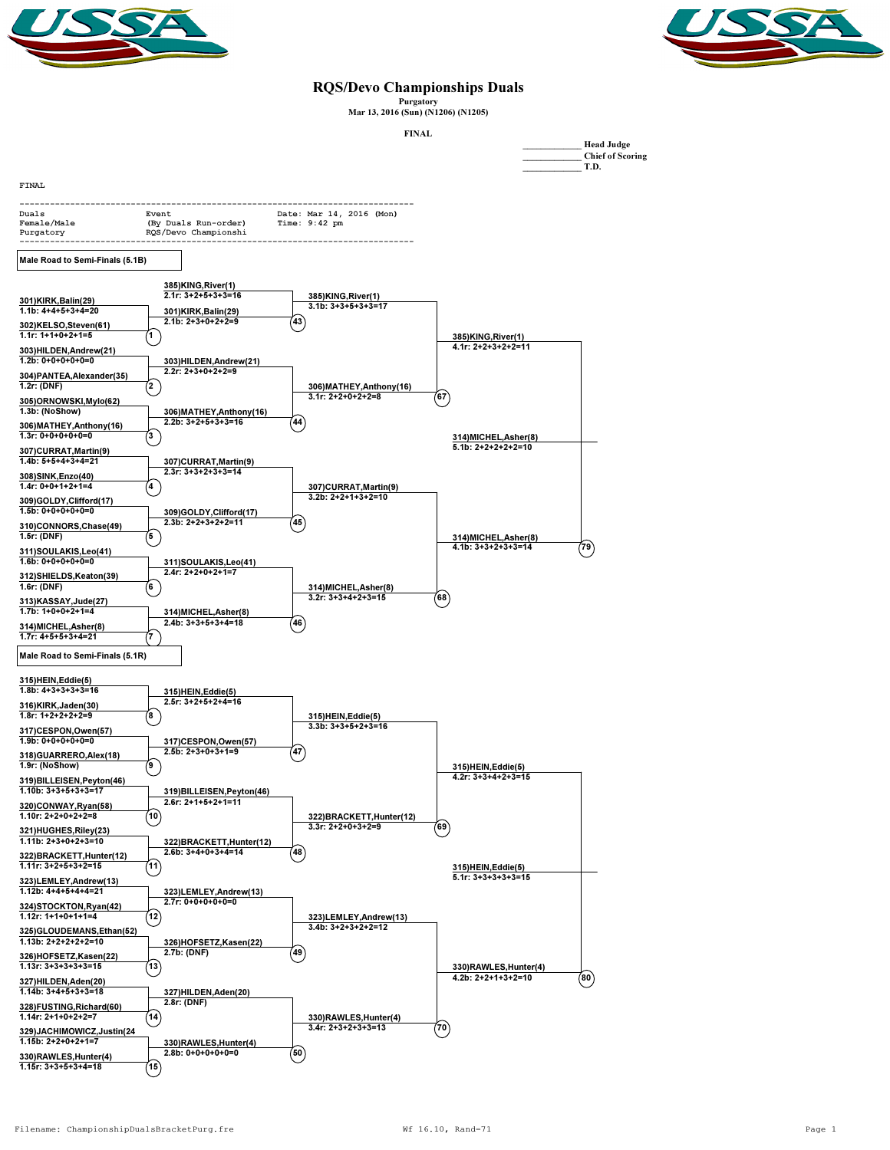



## RQS/Devo Championships Duals

Purgatory Mar 13, 2016 (Sun) (N1206) (N1205)

FINAL

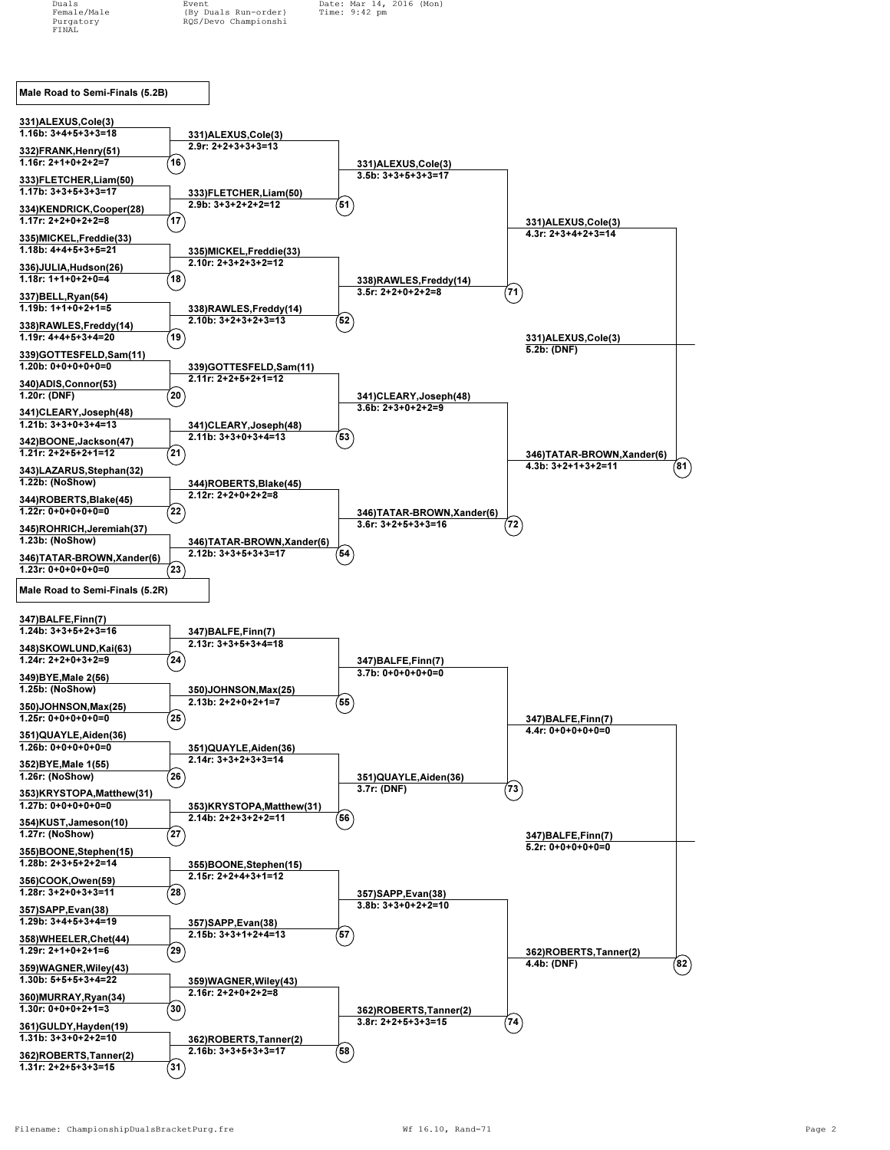Duals Event Date: Mar 14, 2016 (Mon)<br>Female/Male (By Duals Run-order) Time: 9:42 pm Female/Male (By Duals Run-order)<br>Purgatory RQS/Devo Championshi  $RQS/Devo *Championshi*$ 

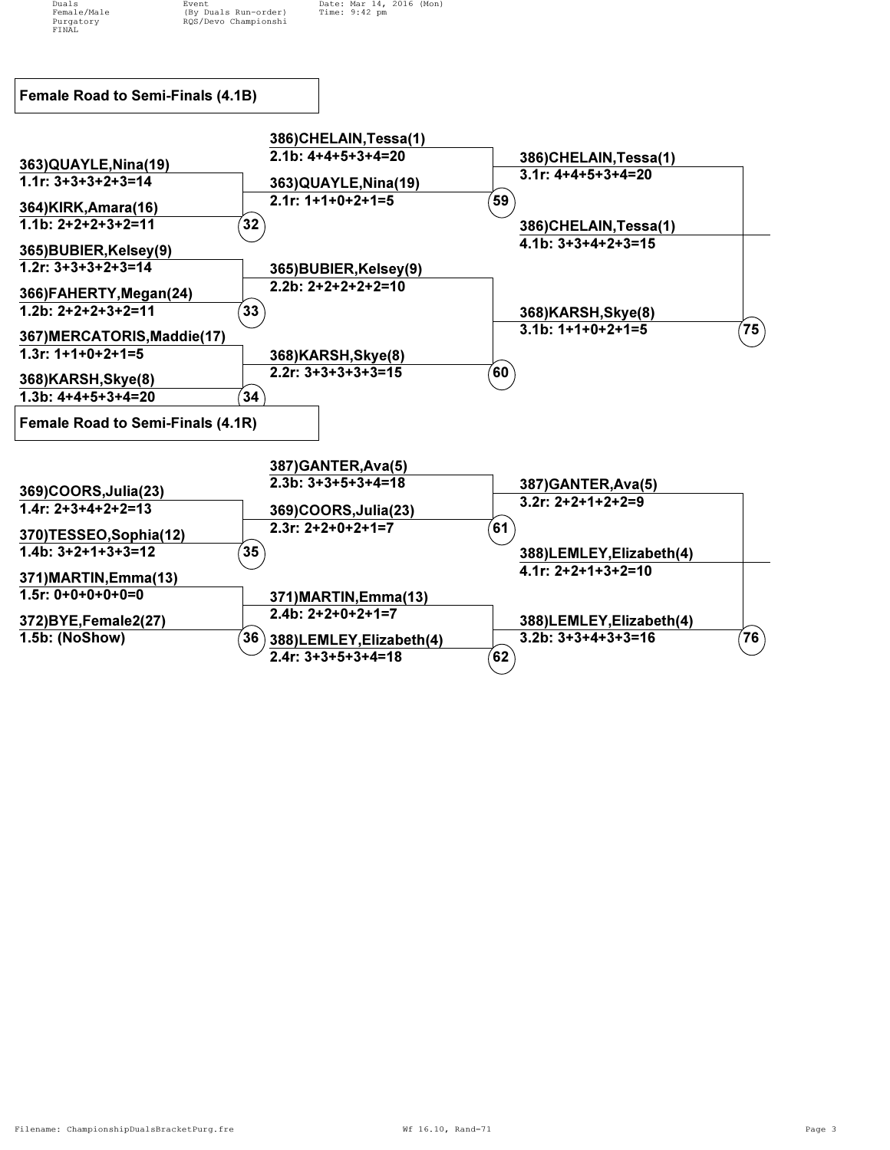FINAL

Duals Event Date: Mar 14, 2016 (Mon)<br>Female/Male (By Duals Run-order) Time: 9:42 pm Female/Male (By Duals Run-order)<br>Purgatory RQS/Devo Championshi RQS/Devo Championshi

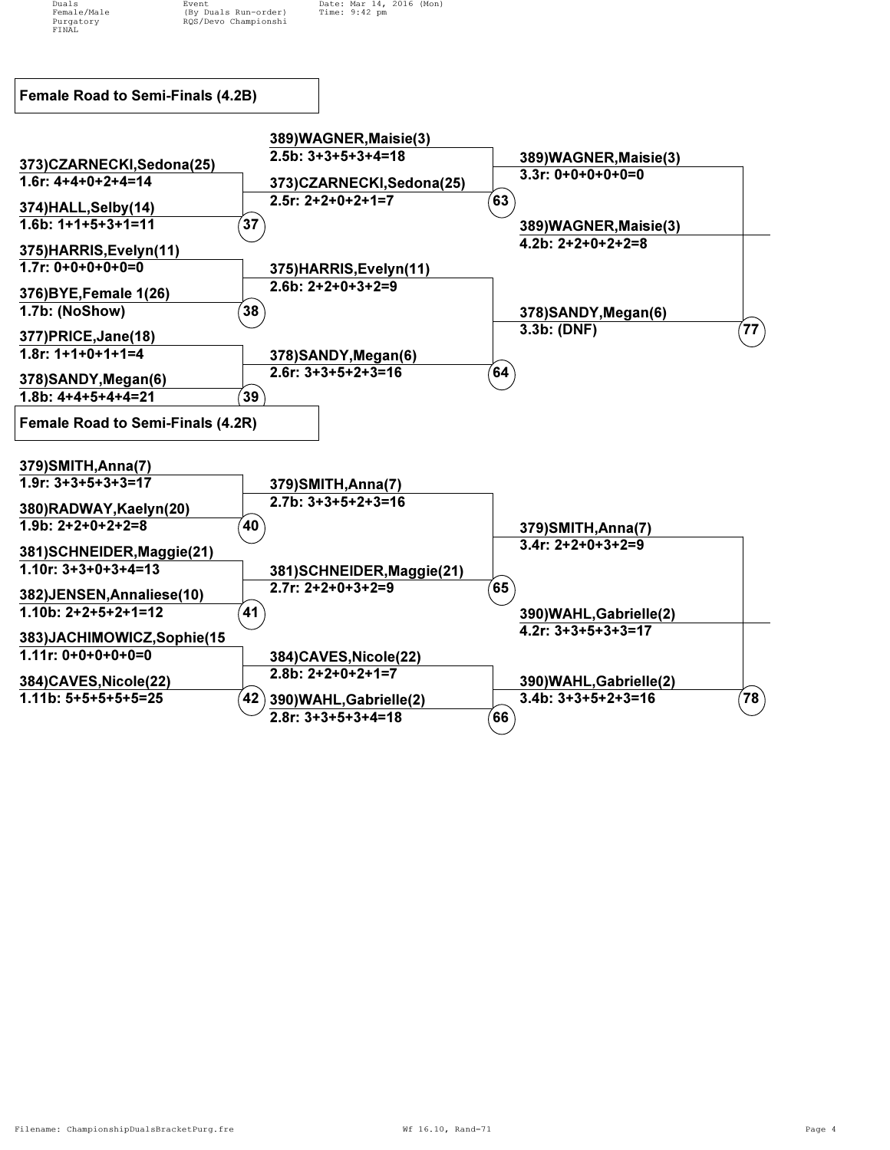

FINAL